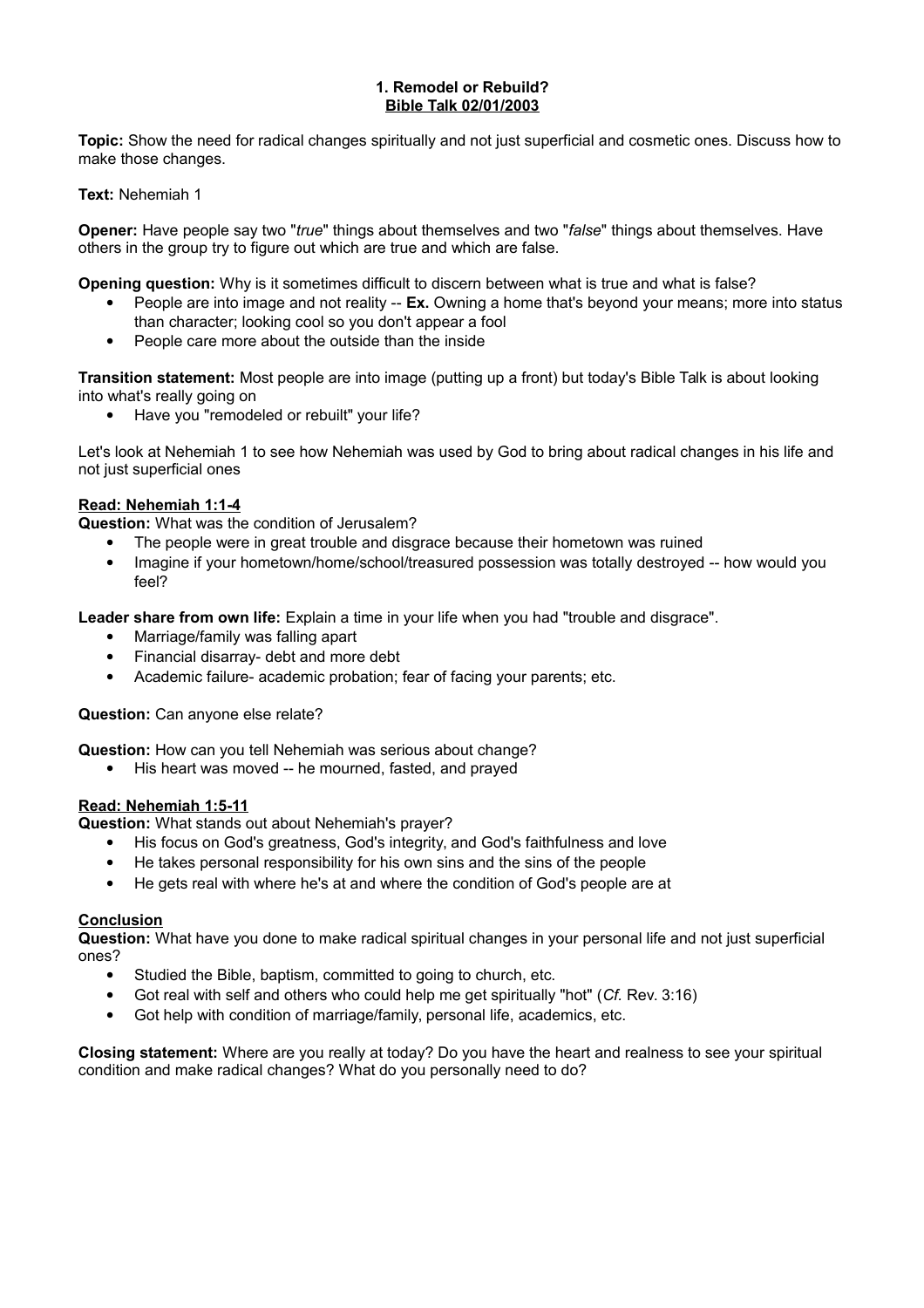#### **1. Remodel or Rebuild? Bible Talk 02/01/2003**

**Topic:** Show the need for radical changes spiritually and not just superficial and cosmetic ones. Discuss how to make those changes.

## **Text:** Nehemiah 1

**Opener:** Have people say two "*true*" things about themselves and two "*false*" things about themselves. Have others in the group try to figure out which are true and which are false.

**Opening question:** Why is it sometimes difficult to discern between what is true and what is false?

- People are into image and not reality -- **Ex.** Owning a home that's beyond your means; more into status than character; looking cool so you don't appear a fool
- People care more about the outside than the inside

**Transition statement:** Most people are into image (putting up a front) but today's Bible Talk is about looking into what's really going on

Have you "remodeled or rebuilt" your life?

Let's look at Nehemiah 1 to see how Nehemiah was used by God to bring about radical changes in his life and not just superficial ones

## **Read: Nehemiah 1:1-4**

**Question:** What was the condition of Jerusalem?

- The people were in great trouble and disgrace because their hometown was ruined
- Imagine if your hometown/home/school/treasured possession was totally destroyed -- how would you feel?

Leader share from own life: Explain a time in your life when you had "trouble and disgrace".

- Marriage/family was falling apart
- Financial disarray- debt and more debt
- Academic failure- academic probation; fear of facing your parents; etc.

**Question:** Can anyone else relate?

**Question:** How can you tell Nehemiah was serious about change?

His heart was moved -- he mourned, fasted, and prayed

## **Read: Nehemiah 1:5-11**

**Question:** What stands out about Nehemiah's prayer?

- His focus on God's greatness, God's integrity, and God's faithfulness and love
- He takes personal responsibility for his own sins and the sins of the people
- He gets real with where he's at and where the condition of God's people are at

## **Conclusion**

**Question:** What have you done to make radical spiritual changes in your personal life and not just superficial ones?

- Studied the Bible, baptism, committed to going to church, etc.
- Got real with self and others who could help me get spiritually "hot" (*Cf.* Rev. 3:16)
- Got help with condition of marriage/family, personal life, academics, etc.

**Closing statement:** Where are you really at today? Do you have the heart and realness to see your spiritual condition and make radical changes? What do you personally need to do?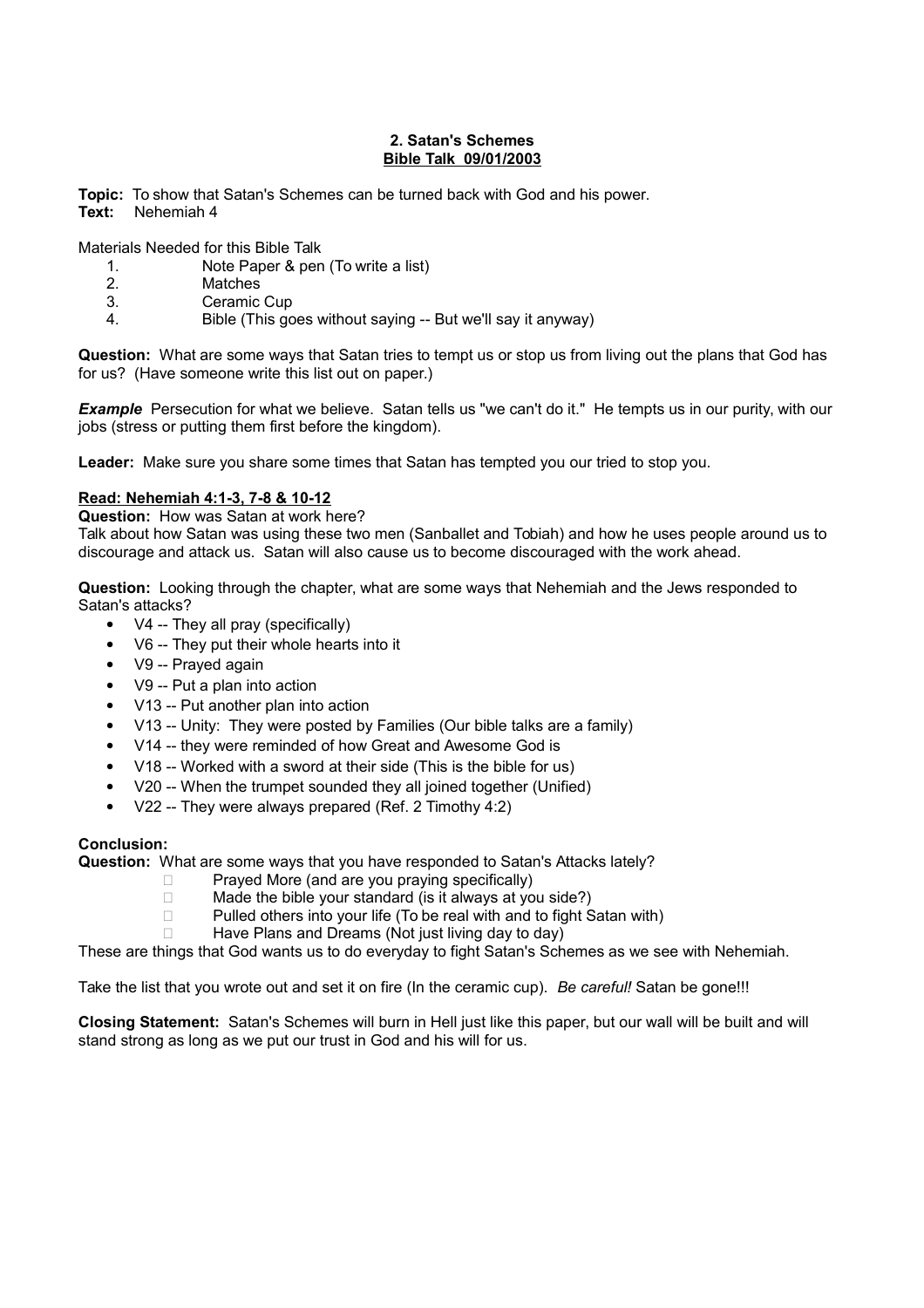#### **2. Satan's Schemes Bible Talk 09/01/2003**

**Topic:** To show that Satan's Schemes can be turned back with God and his power. **Text:** Nehemiah 4

Materials Needed for this Bible Talk

- 1. Note Paper & pen (To write a list)
- 2. Matches
- 3. Ceramic Cup
- 4. Bible (This goes without saying -- But we'll say it anyway)

**Question:** What are some ways that Satan tries to tempt us or stop us from living out the plans that God has for us? (Have someone write this list out on paper.)

**Example** Persecution for what we believe. Satan tells us "we can't do it." He tempts us in our purity, with our jobs (stress or putting them first before the kingdom).

Leader: Make sure you share some times that Satan has tempted you our tried to stop you.

## **Read: Nehemiah 4:1-3, 7-8 & 10-12**

**Question:** How was Satan at work here?

Talk about how Satan was using these two men (Sanballet and Tobiah) and how he uses people around us to discourage and attack us. Satan will also cause us to become discouraged with the work ahead.

**Question:** Looking through the chapter, what are some ways that Nehemiah and the Jews responded to Satan's attacks?

- V4 -- They all pray (specifically)
- V6 -- They put their whole hearts into it
- V9 -- Prayed again
- V9 -- Put a plan into action
- V13 -- Put another plan into action
- V13 -- Unity: They were posted by Families (Our bible talks are a family)
- V14 -- they were reminded of how Great and Awesome God is
- V18 -- Worked with a sword at their side (This is the bible for us)
- V20 -- When the trumpet sounded they all joined together (Unified)
- V22 -- They were always prepared (Ref. 2 Timothy 4:2)

## **Conclusion:**

**Question:** What are some ways that you have responded to Satan's Attacks lately?

- $\Box$  Prayed More (and are you praying specifically)
- $\Box$  Made the bible your standard (is it always at you side?)
- $\Box$  Pulled others into your life (To be real with and to fight Satan with)
- $\Box$  Have Plans and Dreams (Not just living day to day)

These are things that God wants us to do everyday to fight Satan's Schemes as we see with Nehemiah.

Take the list that you wrote out and set it on fire (In the ceramic cup). *Be careful!* Satan be gone!!!

**Closing Statement:** Satan's Schemes will burn in Hell just like this paper, but our wall will be built and will stand strong as long as we put our trust in God and his will for us.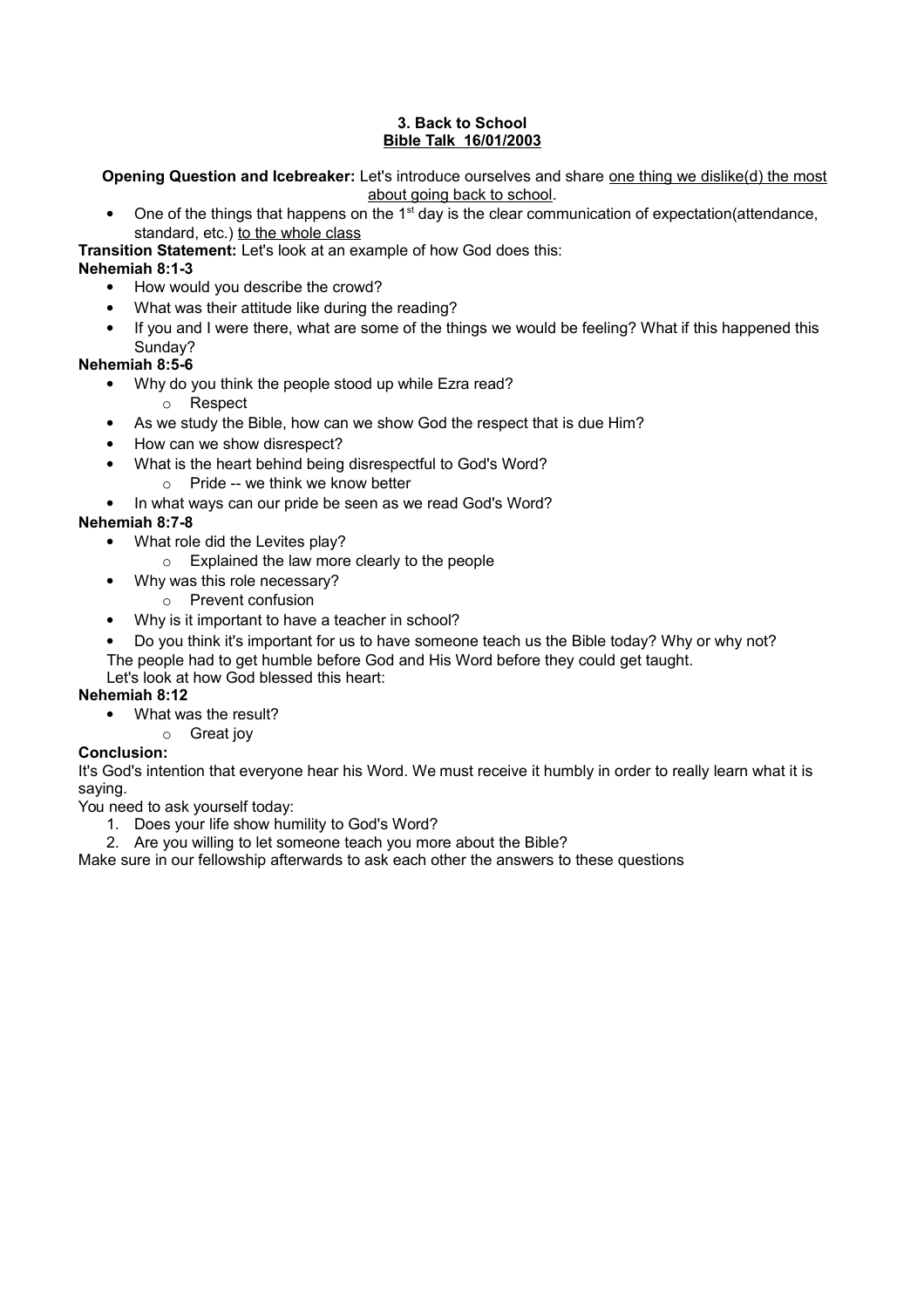## **3. Back to School Bible Talk 16/01/2003**

**Opening Question and Icebreaker:** Let's introduce ourselves and share one thing we dislike(d) the most about going back to school.

One of the things that happens on the 1<sup>st</sup> day is the clear communication of expectation(attendance, standard, etc.) to the whole class

**Transition Statement:** Let's look at an example of how God does this:

## **Nehemiah 8:1-3**

- How would you describe the crowd?
- What was their attitude like during the reading?
- If you and I were there, what are some of the things we would be feeling? What if this happened this Sunday?

## **Nehemiah 8:5-6**

- Why do you think the people stood up while Ezra read?
	- o Respect
- As we study the Bible, how can we show God the respect that is due Him?
- How can we show disrespect?
- What is the heart behind being disrespectful to God's Word?
	- $\circ$  Pride -- we think we know better
- In what ways can our pride be seen as we read God's Word?

# **Nehemiah 8:7-8**

- What role did the Levites play?
	- o Explained the law more clearly to the people
- Why was this role necessary?
	- o Prevent confusion
- Why is it important to have a teacher in school?
- Do you think it's important for us to have someone teach us the Bible today? Why or why not? The people had to get humble before God and His Word before they could get taught.

Let's look at how God blessed this heart:

## **Nehemiah 8:12**

- What was the result?
	- o Great joy

## **Conclusion:**

It's God's intention that everyone hear his Word. We must receive it humbly in order to really learn what it is saying.

You need to ask yourself today:

- 1. Does your life show humility to God's Word?
- 2. Are you willing to let someone teach you more about the Bible?

Make sure in our fellowship afterwards to ask each other the answers to these questions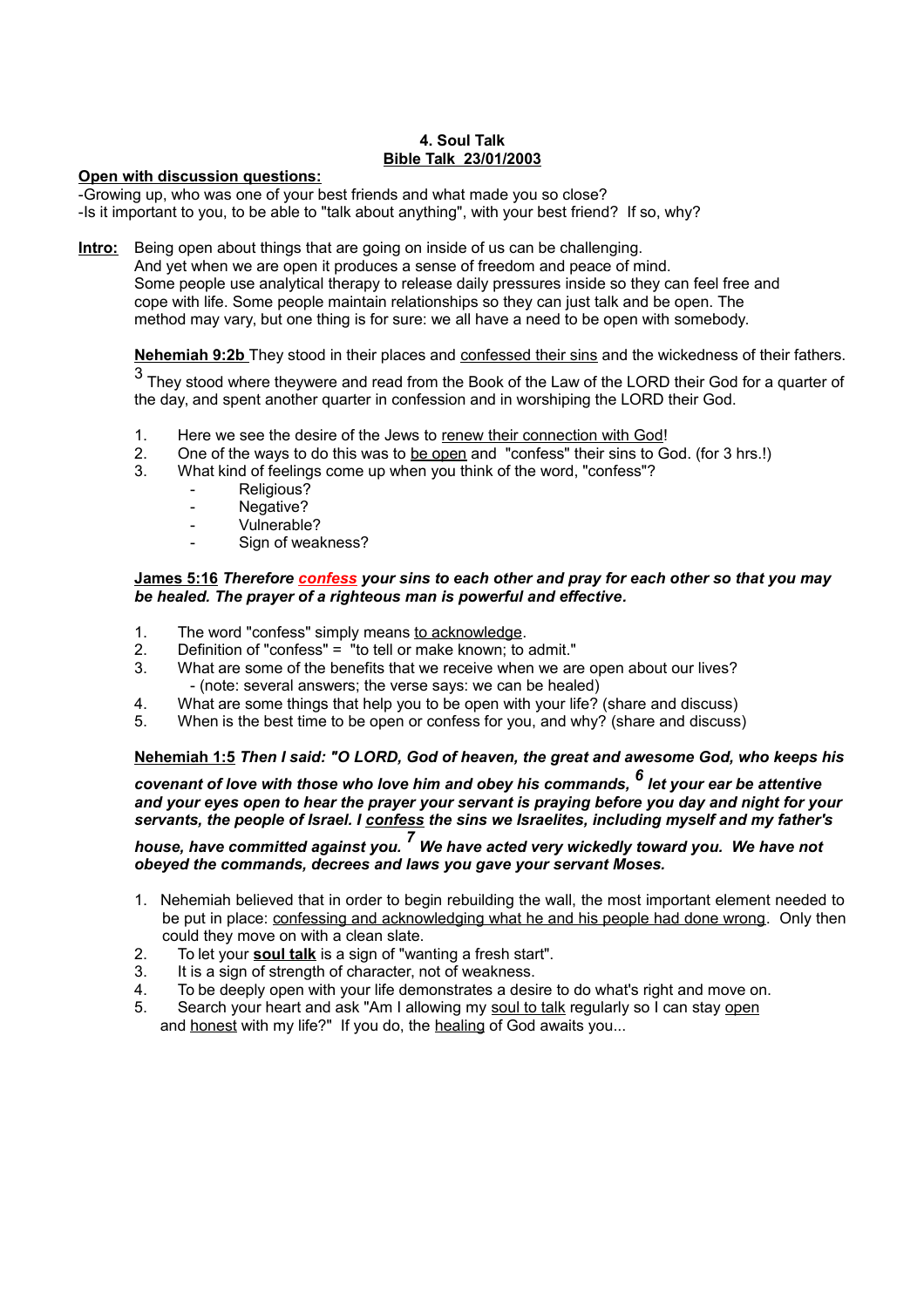## **4. Soul Talk Bible Talk 23/01/2003**

#### **Open with discussion questions:**

-Growing up, who was one of your best friends and what made you so close? -Is it important to you, to be able to "talk about anything", with your best friend? If so, why?

**Intro:** Being open about things that are going on inside of us can be challenging.

And yet when we are open it produces a sense of freedom and peace of mind. Some people use analytical therapy to release daily pressures inside so they can feel free and cope with life. Some people maintain relationships so they can just talk and be open. The method may vary, but one thing is for sure: we all have a need to be open with somebody.

**Nehemiah 9:2b** They stood in their places and confessed their sins and the wickedness of their fathers.

3 They stood where theywere and read from the Book of the Law of the LORD their God for a quarter of the day, and spent another quarter in confession and in worshiping the LORD their God.

- 1. Here we see the desire of the Jews to renew their connection with God!
- 2. One of the ways to do this was to be open and "confess" their sins to God. (for 3 hrs.!)
- 3. What kind of feelings come up when you think of the word, "confess"?
	- Religious?
	- Negative?
	- Vulnerable?
	- Sign of weakness?

#### **James 5:16** *Therefore confess your sins to each other and pray for each other so that you may be healed. The prayer of a righteous man is powerful and effective.*

- 1. The word "confess" simply means to acknowledge.
- 2. Definition of "confess" = "to tell or make known; to admit."
- 3. What are some of the benefits that we receive when we are open about our lives? - (note: several answers; the verse says: we can be healed)
- 4. What are some things that help you to be open with your life? (share and discuss)<br>5. When is the best time to be open or confess for you, and why? (share and discuss
- When is the best time to be open or confess for you, and why? (share and discuss)

## **Nehemiah 1:5** *Then I said: "O LORD, God of heaven, the great and awesome God, who keeps his*

*covenant of love with those who love him and obey his commands, <sup>6</sup> let your ear be attentive and your eyes open to hear the prayer your servant is praying before you day and night for your servants, the people of Israel. I confess the sins we Israelites, including myself and my father's* 

# *house, have committed against you. <sup>7</sup> We have acted very wickedly toward you. We have not obeyed the commands, decrees and laws you gave your servant Moses.*

- 1. Nehemiah believed that in order to begin rebuilding the wall, the most important element needed to be put in place: confessing and acknowledging what he and his people had done wrong. Only then could they move on with a clean slate.
- 2. To let your **soul talk** is a sign of "wanting a fresh start".
- 3. It is a sign of strength of character, not of weakness.
- 4. To be deeply open with your life demonstrates a desire to do what's right and move on.
- 5. Search your heart and ask "Am I allowing my soul to talk regularly so I can stay open and honest with my life?" If you do, the healing of God awaits you...